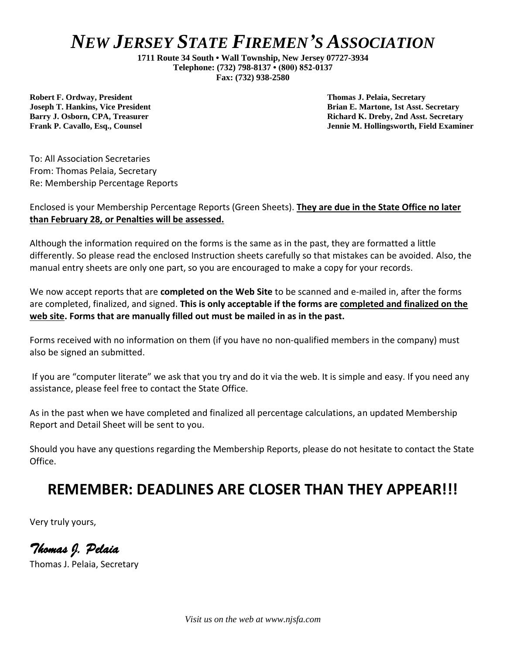**1711 Route 34 South • Wall Township, New Jersey 07727-3934 Telephone: (732) 798-8137 • (800) 852-0137 Fax: (732) 938-2580**

**Robert F. Ordway, President Thomas J. Pelaia, Secretary**

**Joseph T. Hankins, Vice President Brian E. Martone, 1st Asst. Secretary Barry J. Osborn, CPA, Treasurer Richard K. Dreby, 2nd Asst. Secretary Frank P. Cavallo, Esq., Counsel Jennie M. Hollingsworth, Field Examiner**

To: All Association Secretaries From: Thomas Pelaia, Secretary Re: Membership Percentage Reports

#### Enclosed is your Membership Percentage Reports (Green Sheets). **They are due in the State Office no later than February 28, or Penalties will be assessed.**

Although the information required on the forms is the same as in the past, they are formatted a little differently. So please read the enclosed Instruction sheets carefully so that mistakes can be avoided. Also, the manual entry sheets are only one part, so you are encouraged to make a copy for your records.

We now accept reports that are **completed on the Web Site** to be scanned and e-mailed in, after the forms are completed, finalized, and signed. **This is only acceptable if the forms are completed and finalized on the web site. Forms that are manually filled out must be mailed in as in the past.**

Forms received with no information on them (if you have no non-qualified members in the company) must also be signed an submitted.

If you are "computer literate" we ask that you try and do it via the web. It is simple and easy. If you need any assistance, please feel free to contact the State Office.

As in the past when we have completed and finalized all percentage calculations, an updated Membership Report and Detail Sheet will be sent to you.

Should you have any questions regarding the Membership Reports, please do not hesitate to contact the State Office.

#### **REMEMBER: DEADLINES ARE CLOSER THAN THEY APPEAR!!!**

Very truly yours,

*Thomas J. Pelaia* 

Thomas J. Pelaia, Secretary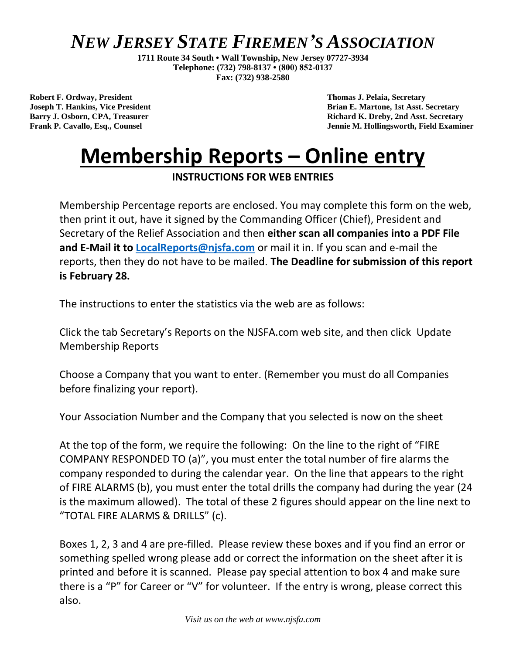**1711 Route 34 South • Wall Township, New Jersey 07727-3934 Telephone: (732) 798-8137 • (800) 852-0137 Fax: (732) 938-2580**

**Robert F. Ordway, President Thomas J. Pelaia, Secretary**

**Joseph T. Hankins, Vice President Brian E. Martone, 1st Asst. Secretary Barry J. Osborn, CPA, Treasurer Richard K. Dreby, 2nd Asst. Secretary Frank P. Cavallo, Esq., Counsel Jennie M. Hollingsworth, Field Examiner**

# **Membership Reports – Online entry**

**INSTRUCTIONS FOR WEB ENTRIES**

Membership Percentage reports are enclosed. You may complete this form on the web, then print it out, have it signed by the Commanding Officer (Chief), President and Secretary of the Relief Association and then **either scan all companies into a PDF File and E-Mail it to [LocalReports@njsfa.com](mailto:LocalReports@njsfa.com)** or mail it in. If you scan and e-mail the reports, then they do not have to be mailed. **The Deadline for submission of this report is February 28.**

The instructions to enter the statistics via the web are as follows:

Click the tab Secretary's Reports on the NJSFA.com web site, and then click Update Membership Reports

Choose a Company that you want to enter. (Remember you must do all Companies before finalizing your report).

Your Association Number and the Company that you selected is now on the sheet

At the top of the form, we require the following: On the line to the right of "FIRE COMPANY RESPONDED TO (a)", you must enter the total number of fire alarms the company responded to during the calendar year. On the line that appears to the right of FIRE ALARMS (b), you must enter the total drills the company had during the year (24 is the maximum allowed). The total of these 2 figures should appear on the line next to "TOTAL FIRE ALARMS & DRILLS" (c).

Boxes 1, 2, 3 and 4 are pre-filled. Please review these boxes and if you find an error or something spelled wrong please add or correct the information on the sheet after it is printed and before it is scanned. Please pay special attention to box 4 and make sure there is a "P" for Career or "V" for volunteer. If the entry is wrong, please correct this also.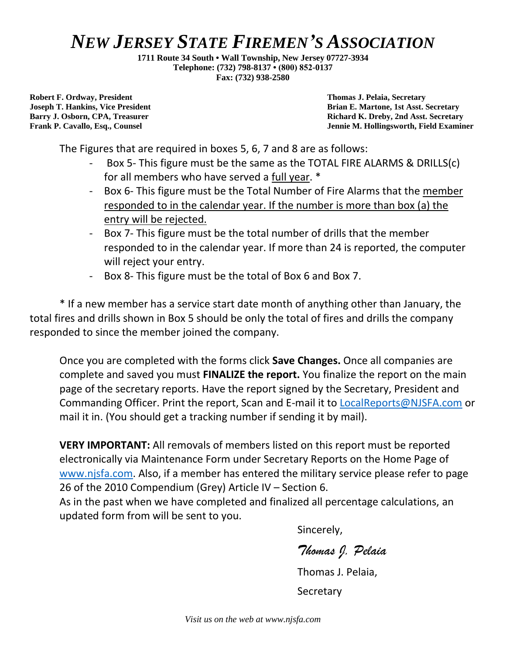**1711 Route 34 South • Wall Township, New Jersey 07727-3934 Telephone: (732) 798-8137 • (800) 852-0137 Fax: (732) 938-2580**

**Robert F. Ordway, President Thomas J. Pelaia, Secretary**

**Joseph T. Hankins, Vice President Brian E. Martone, 1st Asst. Secretary Barry J. Osborn, CPA, Treasurer Richard K. Dreby, 2nd Asst. Secretary Frank P. Cavallo, Esq., Counsel Jennie M. Hollingsworth, Field Examiner**

The Figures that are required in boxes 5, 6, 7 and 8 are as follows:

- Box 5- This figure must be the same as the TOTAL FIRE ALARMS & DRILLS(c) for all members who have served a full year. \*
- Box 6- This figure must be the Total Number of Fire Alarms that the member responded to in the calendar year. If the number is more than box (a) the entry will be rejected.
- Box 7- This figure must be the total number of drills that the member responded to in the calendar year. If more than 24 is reported, the computer will reject your entry.
- Box 8- This figure must be the total of Box 6 and Box 7.

\* If a new member has a service start date month of anything other than January, the total fires and drills shown in Box 5 should be only the total of fires and drills the company responded to since the member joined the company.

Once you are completed with the forms click **Save Changes.** Once all companies are complete and saved you must **FINALIZE the report.** You finalize the report on the main page of the secretary reports. Have the report signed by the Secretary, President and Commanding Officer. Print the report, Scan and E-mail it to [LocalReports@NJSFA.com](mailto:LocalReports@NJSFA.com) or mail it in. (You should get a tracking number if sending it by mail).

**VERY IMPORTANT:** All removals of members listed on this report must be reported electronically via Maintenance Form under Secretary Reports on the Home Page of [www.njsfa.com.](http://www.njsfa.com/) Also, if a member has entered the military service please refer to page 26 of the 2010 Compendium (Grey) Article IV – Section 6.

As in the past when we have completed and finalized all percentage calculations, an updated form from will be sent to you.

Sincerely,

*Thomas J. Pelaia*

Thomas J. Pelaia,

**Secretary**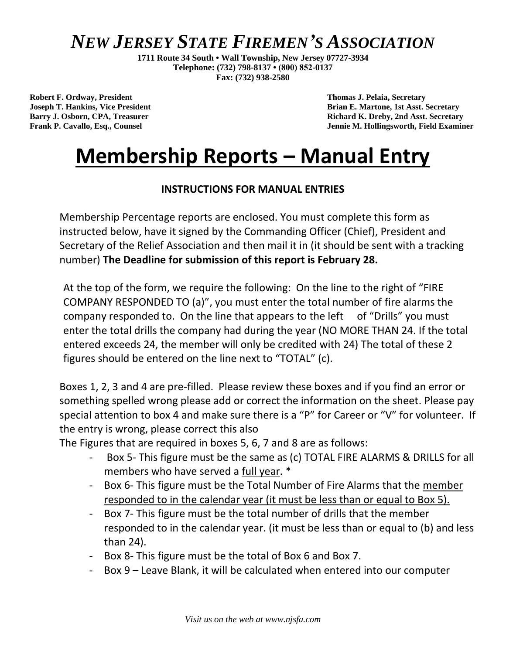**1711 Route 34 South • Wall Township, New Jersey 07727-3934 Telephone: (732) 798-8137 • (800) 852-0137 Fax: (732) 938-2580**

**Robert F. Ordway, President Thomas J. Pelaia, Secretary**

**Joseph T. Hankins, Vice President Brian E. Martone, 1st Asst. Secretary Barry J. Osborn, CPA, Treasurer Richard K. Dreby, 2nd Asst. Secretary Frank P. Cavallo, Esq., Counsel Jennie M. Hollingsworth, Field Examiner**

# **Membership Reports – Manual Entry**

#### **INSTRUCTIONS FOR MANUAL ENTRIES**

Membership Percentage reports are enclosed. You must complete this form as instructed below, have it signed by the Commanding Officer (Chief), President and Secretary of the Relief Association and then mail it in (it should be sent with a tracking number) **The Deadline for submission of this report is February 28.**

At the top of the form, we require the following: On the line to the right of "FIRE COMPANY RESPONDED TO (a)", you must enter the total number of fire alarms the company responded to. On the line that appears to the left of "Drills" you must enter the total drills the company had during the year (NO MORE THAN 24. If the total entered exceeds 24, the member will only be credited with 24) The total of these 2 figures should be entered on the line next to "TOTAL" (c).

Boxes 1, 2, 3 and 4 are pre-filled. Please review these boxes and if you find an error or something spelled wrong please add or correct the information on the sheet. Please pay special attention to box 4 and make sure there is a "P" for Career or "V" for volunteer. If the entry is wrong, please correct this also

The Figures that are required in boxes 5, 6, 7 and 8 are as follows:

- Box 5- This figure must be the same as (c) TOTAL FIRE ALARMS & DRILLS for all members who have served a full year. \*
- Box 6- This figure must be the Total Number of Fire Alarms that the member responded to in the calendar year (it must be less than or equal to Box 5).
- Box 7- This figure must be the total number of drills that the member responded to in the calendar year. (it must be less than or equal to (b) and less than 24).
- Box 8- This figure must be the total of Box 6 and Box 7.
- Box 9 Leave Blank, it will be calculated when entered into our computer